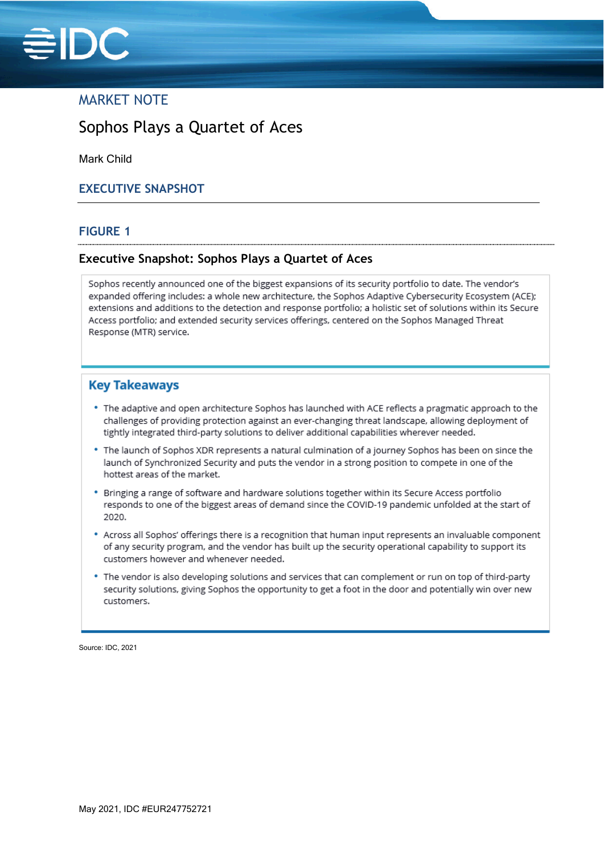

## MARKET NOTE

# Sophos Plays a Quartet of Aces

Mark Child

### **EXECUTIVE SNAPSHOT**

#### **FIGURE 1**

#### **Executive Snapshot: Sophos Plays a Quartet of Aces**

Sophos recently announced one of the biggest expansions of its security portfolio to date. The vendor's expanded offering includes: a whole new architecture, the Sophos Adaptive Cybersecurity Ecosystem (ACE); extensions and additions to the detection and response portfolio; a holistic set of solutions within its Secure Access portfolio; and extended security services offerings, centered on the Sophos Managed Threat Response (MTR) service.

### **Key Takeaways**

- . The adaptive and open architecture Sophos has launched with ACE reflects a pragmatic approach to the challenges of providing protection against an ever-changing threat landscape, allowing deployment of tightly integrated third-party solutions to deliver additional capabilities wherever needed.
- . The launch of Sophos XDR represents a natural culmination of a journey Sophos has been on since the launch of Synchronized Security and puts the vendor in a strong position to compete in one of the hottest areas of the market.
- \* Bringing a range of software and hardware solutions together within its Secure Access portfolio responds to one of the biggest areas of demand since the COVID-19 pandemic unfolded at the start of 2020.
- \* Across all Sophos' offerings there is a recognition that human input represents an invaluable component of any security program, and the vendor has built up the security operational capability to support its customers however and whenever needed.
- . The vendor is also developing solutions and services that can complement or run on top of third-party security solutions, giving Sophos the opportunity to get a foot in the door and potentially win over new customers.

Source: IDC, 2021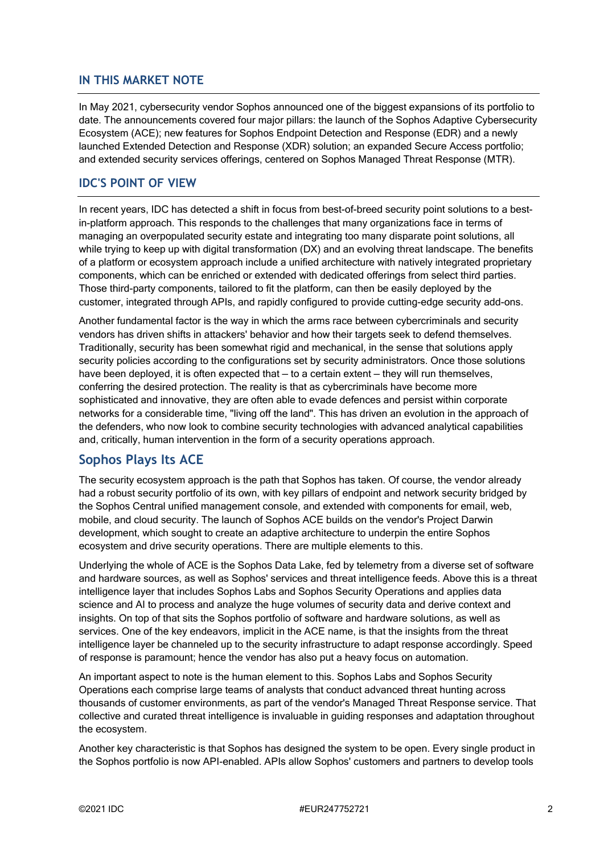### **IN THIS MARKET NOTE**

In May 2021, cybersecurity vendor Sophos announced one of the biggest expansions of its portfolio to date. The announcements covered four major pillars: the launch of the Sophos Adaptive Cybersecurity Ecosystem (ACE); new features for Sophos Endpoint Detection and Response (EDR) and a newly launched Extended Detection and Response (XDR) solution; an expanded Secure Access portfolio; and extended security services offerings, centered on Sophos Managed Threat Response (MTR).

### **IDC'S POINT OF VIEW**

In recent years, IDC has detected a shift in focus from best-of-breed security point solutions to a bestin-platform approach. This responds to the challenges that many organizations face in terms of managing an overpopulated security estate and integrating too many disparate point solutions, all while trying to keep up with digital transformation (DX) and an evolving threat landscape. The benefits of a platform or ecosystem approach include a unified architecture with natively integrated proprietary components, which can be enriched or extended with dedicated offerings from select third parties. Those third-party components, tailored to fit the platform, can then be easily deployed by the customer, integrated through APIs, and rapidly configured to provide cutting-edge security add-ons.

Another fundamental factor is the way in which the arms race between cybercriminals and security vendors has driven shifts in attackers' behavior and how their targets seek to defend themselves. Traditionally, security has been somewhat rigid and mechanical, in the sense that solutions apply security policies according to the configurations set by security administrators. Once those solutions have been deployed, it is often expected that – to a certain extent – they will run themselves, conferring the desired protection. The reality is that as cybercriminals have become more sophisticated and innovative, they are often able to evade defences and persist within corporate networks for a considerable time, "living off the land". This has driven an evolution in the approach of the defenders, who now look to combine security technologies with advanced analytical capabilities and, critically, human intervention in the form of a security operations approach.

## **Sophos Plays Its ACE**

The security ecosystem approach is the path that Sophos has taken. Of course, the vendor already had a robust security portfolio of its own, with key pillars of endpoint and network security bridged by the Sophos Central unified management console, and extended with components for email, web, mobile, and cloud security. The launch of Sophos ACE builds on the vendor's Project Darwin development, which sought to create an adaptive architecture to underpin the entire Sophos ecosystem and drive security operations. There are multiple elements to this.

Underlying the whole of ACE is the Sophos Data Lake, fed by telemetry from a diverse set of software and hardware sources, as well as Sophos' services and threat intelligence feeds. Above this is a threat intelligence layer that includes Sophos Labs and Sophos Security Operations and applies data science and AI to process and analyze the huge volumes of security data and derive context and insights. On top of that sits the Sophos portfolio of software and hardware solutions, as well as services. One of the key endeavors, implicit in the ACE name, is that the insights from the threat intelligence layer be channeled up to the security infrastructure to adapt response accordingly. Speed of response is paramount; hence the vendor has also put a heavy focus on automation.

An important aspect to note is the human element to this. Sophos Labs and Sophos Security Operations each comprise large teams of analysts that conduct advanced threat hunting across thousands of customer environments, as part of the vendor's Managed Threat Response service. That collective and curated threat intelligence is invaluable in guiding responses and adaptation throughout the ecosystem.

Another key characteristic is that Sophos has designed the system to be open. Every single product in the Sophos portfolio is now API-enabled. APIs allow Sophos' customers and partners to develop tools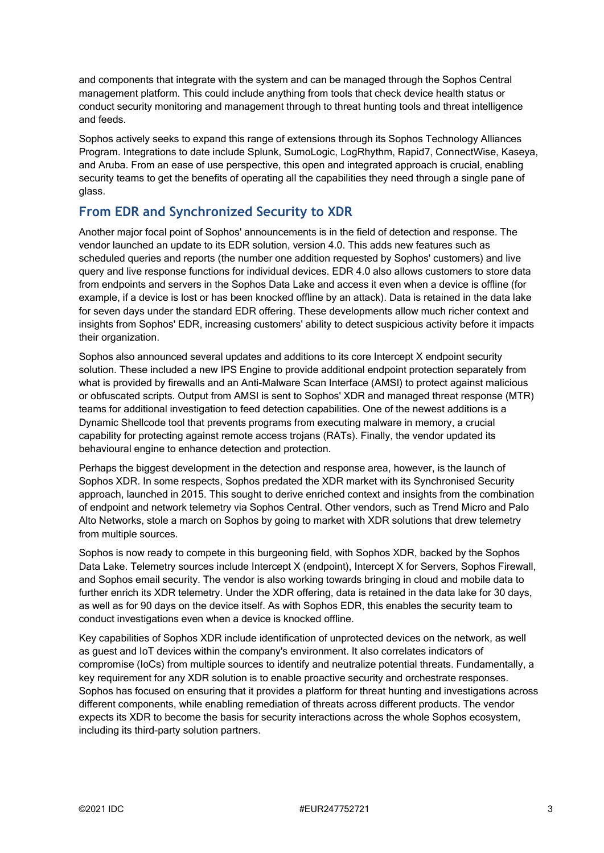and components that integrate with the system and can be managed through the Sophos Central management platform. This could include anything from tools that check device health status or conduct security monitoring and management through to threat hunting tools and threat intelligence and feeds.

Sophos actively seeks to expand this range of extensions through its Sophos Technology Alliances Program. Integrations to date include Splunk, SumoLogic, LogRhythm, Rapid7, ConnectWise, Kaseya, and Aruba. From an ease of use perspective, this open and integrated approach is crucial, enabling security teams to get the benefits of operating all the capabilities they need through a single pane of glass.

## **From EDR and Synchronized Security to XDR**

Another major focal point of Sophos' announcements is in the field of detection and response. The vendor launched an update to its EDR solution, version 4.0. This adds new features such as scheduled queries and reports (the number one addition requested by Sophos' customers) and live query and live response functions for individual devices. EDR 4.0 also allows customers to store data from endpoints and servers in the Sophos Data Lake and access it even when a device is offline (for example, if a device is lost or has been knocked offline by an attack). Data is retained in the data lake for seven days under the standard EDR offering. These developments allow much richer context and insights from Sophos' EDR, increasing customers' ability to detect suspicious activity before it impacts their organization.

Sophos also announced several updates and additions to its core Intercept X endpoint security solution. These included a new IPS Engine to provide additional endpoint protection separately from what is provided by firewalls and an Anti-Malware Scan Interface (AMSI) to protect against malicious or obfuscated scripts. Output from AMSI is sent to Sophos' XDR and managed threat response (MTR) teams for additional investigation to feed detection capabilities. One of the newest additions is a Dynamic Shellcode tool that prevents programs from executing malware in memory, a crucial capability for protecting against remote access trojans (RATs). Finally, the vendor updated its behavioural engine to enhance detection and protection.

Perhaps the biggest development in the detection and response area, however, is the launch of Sophos XDR. In some respects, Sophos predated the XDR market with its Synchronised Security approach, launched in 2015. This sought to derive enriched context and insights from the combination of endpoint and network telemetry via Sophos Central. Other vendors, such as Trend Micro and Palo Alto Networks, stole a march on Sophos by going to market with XDR solutions that drew telemetry from multiple sources.

Sophos is now ready to compete in this burgeoning field, with Sophos XDR, backed by the Sophos Data Lake. Telemetry sources include Intercept X (endpoint), Intercept X for Servers, Sophos Firewall, and Sophos email security. The vendor is also working towards bringing in cloud and mobile data to further enrich its XDR telemetry. Under the XDR offering, data is retained in the data lake for 30 days, as well as for 90 days on the device itself. As with Sophos EDR, this enables the security team to conduct investigations even when a device is knocked offline.

Key capabilities of Sophos XDR include identification of unprotected devices on the network, as well as guest and IoT devices within the company's environment. It also correlates indicators of compromise (IoCs) from multiple sources to identify and neutralize potential threats. Fundamentally, a key requirement for any XDR solution is to enable proactive security and orchestrate responses. Sophos has focused on ensuring that it provides a platform for threat hunting and investigations across different components, while enabling remediation of threats across different products. The vendor expects its XDR to become the basis for security interactions across the whole Sophos ecosystem, including its third-party solution partners.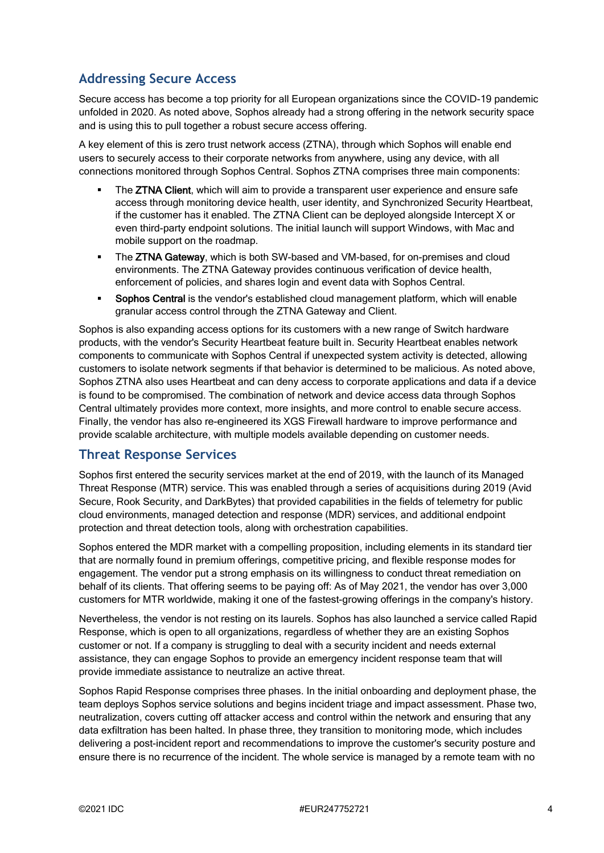## **Addressing Secure Access**

Secure access has become a top priority for all European organizations since the COVID-19 pandemic unfolded in 2020. As noted above, Sophos already had a strong offering in the network security space and is using this to pull together a robust secure access offering.

A key element of this is zero trust network access (ZTNA), through which Sophos will enable end users to securely access to their corporate networks from anywhere, using any device, with all connections monitored through Sophos Central. Sophos ZTNA comprises three main components:

- The ZTNA Client, which will aim to provide a transparent user experience and ensure safe access through monitoring device health, user identity, and Synchronized Security Heartbeat, if the customer has it enabled. The ZTNA Client can be deployed alongside Intercept X or even third-party endpoint solutions. The initial launch will support Windows, with Mac and mobile support on the roadmap.
- The ZTNA Gateway, which is both SW-based and VM-based, for on-premises and cloud environments. The ZTNA Gateway provides continuous verification of device health, enforcement of policies, and shares login and event data with Sophos Central.
- Sophos Central is the vendor's established cloud management platform, which will enable granular access control through the ZTNA Gateway and Client.

Sophos is also expanding access options for its customers with a new range of Switch hardware products, with the vendor's Security Heartbeat feature built in. Security Heartbeat enables network components to communicate with Sophos Central if unexpected system activity is detected, allowing customers to isolate network segments if that behavior is determined to be malicious. As noted above, Sophos ZTNA also uses Heartbeat and can deny access to corporate applications and data if a device is found to be compromised. The combination of network and device access data through Sophos Central ultimately provides more context, more insights, and more control to enable secure access. Finally, the vendor has also re-engineered its XGS Firewall hardware to improve performance and provide scalable architecture, with multiple models available depending on customer needs.

## **Threat Response Services**

Sophos first entered the security services market at the end of 2019, with the launch of its Managed Threat Response (MTR) service. This was enabled through a series of acquisitions during 2019 (Avid Secure, Rook Security, and DarkBytes) that provided capabilities in the fields of telemetry for public cloud environments, managed detection and response (MDR) services, and additional endpoint protection and threat detection tools, along with orchestration capabilities.

Sophos entered the MDR market with a compelling proposition, including elements in its standard tier that are normally found in premium offerings, competitive pricing, and flexible response modes for engagement. The vendor put a strong emphasis on its willingness to conduct threat remediation on behalf of its clients. That offering seems to be paying off: As of May 2021, the vendor has over 3,000 customers for MTR worldwide, making it one of the fastest-growing offerings in the company's history.

Nevertheless, the vendor is not resting on its laurels. Sophos has also launched a service called Rapid Response, which is open to all organizations, regardless of whether they are an existing Sophos customer or not. If a company is struggling to deal with a security incident and needs external assistance, they can engage Sophos to provide an emergency incident response team that will provide immediate assistance to neutralize an active threat.

Sophos Rapid Response comprises three phases. In the initial onboarding and deployment phase, the team deploys Sophos service solutions and begins incident triage and impact assessment. Phase two, neutralization, covers cutting off attacker access and control within the network and ensuring that any data exfiltration has been halted. In phase three, they transition to monitoring mode, which includes delivering a post-incident report and recommendations to improve the customer's security posture and ensure there is no recurrence of the incident. The whole service is managed by a remote team with no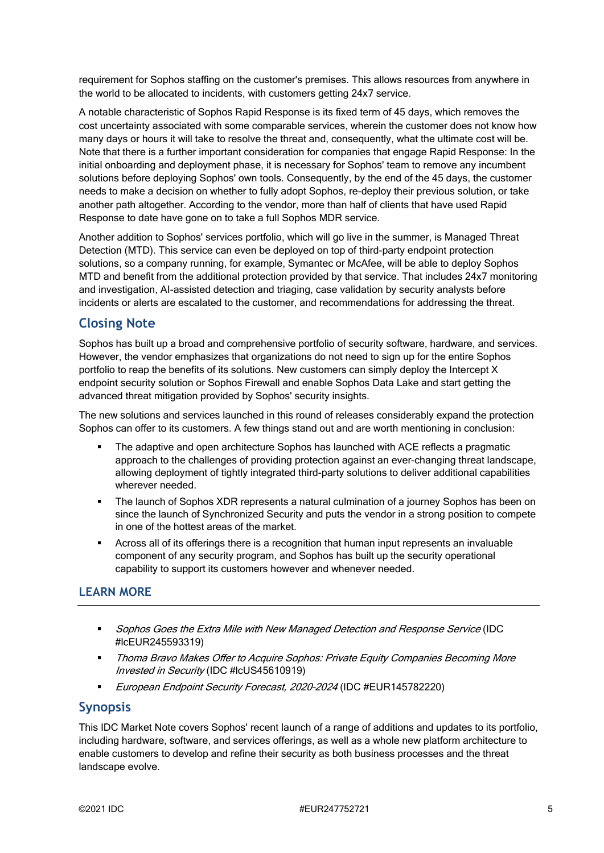requirement for Sophos staffing on the customer's premises. This allows resources from anywhere in the world to be allocated to incidents, with customers getting 24x7 service.

A notable characteristic of Sophos Rapid Response is its fixed term of 45 days, which removes the cost uncertainty associated with some comparable services, wherein the customer does not know how many days or hours it will take to resolve the threat and, consequently, what the ultimate cost will be. Note that there is a further important consideration for companies that engage Rapid Response: In the initial onboarding and deployment phase, it is necessary for Sophos' team to remove any incumbent solutions before deploying Sophos' own tools. Consequently, by the end of the 45 days, the customer needs to make a decision on whether to fully adopt Sophos, re-deploy their previous solution, or take another path altogether. According to the vendor, more than half of clients that have used Rapid Response to date have gone on to take a full Sophos MDR service.

Another addition to Sophos' services portfolio, which will go live in the summer, is Managed Threat Detection (MTD). This service can even be deployed on top of third-party endpoint protection solutions, so a company running, for example, Symantec or McAfee, will be able to deploy Sophos MTD and benefit from the additional protection provided by that service. That includes 24x7 monitoring and investigation, AI-assisted detection and triaging, case validation by security analysts before incidents or alerts are escalated to the customer, and recommendations for addressing the threat.

### **Closing Note**

Sophos has built up a broad and comprehensive portfolio of security software, hardware, and services. However, the vendor emphasizes that organizations do not need to sign up for the entire Sophos portfolio to reap the benefits of its solutions. New customers can simply deploy the Intercept X endpoint security solution or Sophos Firewall and enable Sophos Data Lake and start getting the advanced threat mitigation provided by Sophos' security insights.

The new solutions and services launched in this round of releases considerably expand the protection Sophos can offer to its customers. A few things stand out and are worth mentioning in conclusion:

- The adaptive and open architecture Sophos has launched with ACE reflects a pragmatic approach to the challenges of providing protection against an ever-changing threat landscape, allowing deployment of tightly integrated third-party solutions to deliver additional capabilities wherever needed.
- The launch of Sophos XDR represents a natural culmination of a journey Sophos has been on since the launch of Synchronized Security and puts the vendor in a strong position to compete in one of the hottest areas of the market.
- Across all of its offerings there is a recognition that human input represents an invaluable component of any security program, and Sophos has built up the security operational capability to support its customers however and whenever needed.

### **LEARN MORE**

- Sophos Goes the Extra Mile with New Managed Detection and Response Service (IDC #lcEUR245593319)
- Thoma Bravo Makes Offer to Acquire Sophos: Private Equity Companies Becoming More Invested in Security (IDC #lcUS45610919)
- European Endpoint Security Forecast, 2020–2024 (IDC #EUR145782220)

### **Synopsis**

This IDC Market Note covers Sophos' recent launch of a range of additions and updates to its portfolio, including hardware, software, and services offerings, as well as a whole new platform architecture to enable customers to develop and refine their security as both business processes and the threat landscape evolve.